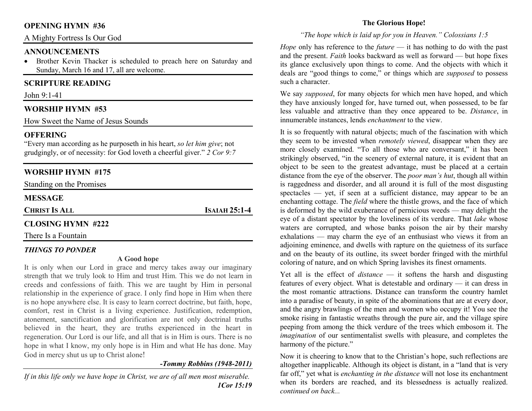# **OPENING HYMN #36**

A Mighty Fortress Is Our God

## **ANNOUNCEMENTS**

 • Brother Kevin Thacker is scheduled to preach here on Saturday and Sunday, March 16 and 17, all are welcome.

# **SCRIPTURE READING**

John 9:1-41

# **WORSHIP HYMN #53**

How Sweet the Name of Jesus Sounds

## **OFFERING**

 "Every man according as he purposeth in his heart, *so let him give*; not grudgingly, or of necessity: for God loveth a cheerful giver." *2 Cor 9:7*

# **WORSHIP HYMN #175**

Standing on the Promises

#### **MESSAGE**

**CHRIST IS ALL**

**<sup>I</sup>SAIAH 25:1-4** 

# **CLOSING HYMN #222**

#### There Is a Fountain

#### *THINGS TO PONDER*

#### **A Good hope**

 It is only when our Lord in grace and mercy takes away our imaginary strength that we truly look to Him and trust Him. This we do not learn in creeds and confessions of faith. This we are taught by Him in personal relationship in the experience of grace. I only find hope in Him when there is no hope anywhere else. It is easy to learn correct doctrine, but faith, hope, comfort, rest in Christ is a living experience. Justification, redemption, atonement, sanctification and glorification are not only doctrinal truths believed in the heart, they are truths experienced in the heart in regeneration. Our Lord is our life, and all that is in Him is ours. There is no hope in what I know, my only hope is in Him and what He has done. May God in mercy shut us up to Christ alone!

#### *-Tommy Robbins (1948-2011)*

*If in this life only we have hope in Christ, we are of all men most miserable. 1Cor 15:19* 

# **The Glorious Hope!**

## *"The hope which is laid up for you in Heaven." Colossians 1:5*

*Hope* only has reference to the *future* — it has nothing to do with the past and the present. *Faith* looks backward as well as forward — but hope fixes its glance exclusively upon things to come. And the objects with which it deals are "good things to come," or things which are *supposed* to possess such a character.

We say *supposed*, for many objects for which men have hoped, and which they have anxiously longed for, have turned out, when possessed, to be far less valuable and attractive than they once appeared to be. *Distance*, in innumerable instances, lends *enchantment* to the view.

It is so frequently with natural objects; much of the fascination with which they seem to be invested when *remotely viewed*, disappear when they are more closely examined. "To all those who are conversant," it has been strikingly observed, "in the scenery of external nature, it is evident that an object to be seen to the greatest advantage, must be placed at a certain distance from the eye of the observer. The *poor man's hut*, though all within is raggedness and disorder, and all around it is full of the most disgusting spectacles — yet, if seen at a sufficient distance, may appear to be an enchanting cottage. The *field* where the thistle grows, and the face of which is deformed by the wild exuberance of pernicious weeds — may delight the eye of a distant spectator by the loveliness of its verdure. That *lake* whose waters are corrupted, and whose banks poison the air by their marshy exhalations — may charm the eye of an enthusiast who views it from an adjoining eminence, and dwells with rapture on the quietness of its surface and on the beauty of its outline, its sweet border fringed with the mirthful coloring of nature, and on which Spring lavishes its finest ornaments.

Yet all is the effect of *distance* — it softens the harsh and disgusting features of every object. What is detestable and ordinary — it can dress in the most romantic attractions. Distance can transform the country hamlet into a paradise of beauty, in spite of the abominations that are at every door, and the angry brawlings of the men and women who occupy it! You see the smoke rising in fantastic wreaths through the pure air, and the village spire peeping from among the thick verdure of the trees which embosom it. The *imagination* of our sentimentalist swells with pleasure, and completes the harmony of the picture."

Now it is cheering to know that to the Christian's hope, such reflections are altogether inapplicable. Although its object is distant, in a "land that is very far off," yet what is *enchanting in the distance* will not lose its enchantment when its borders are reached, and its blessedness is actually realized. *continued on back...*